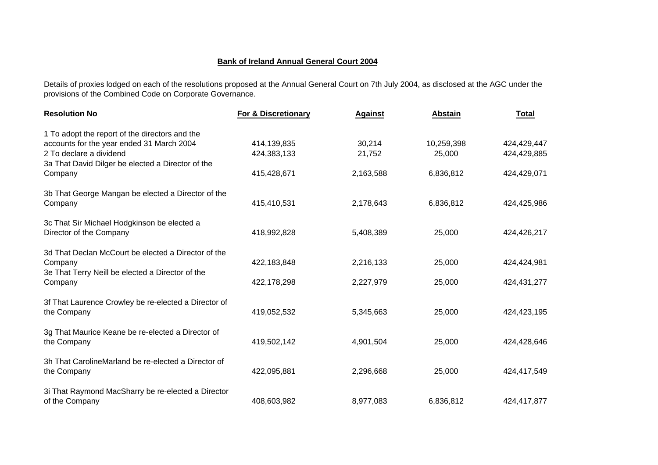## **Bank of Ireland Annual General Court 2004**

Details of proxies lodged on each of the resolutions proposed at the Annual General Court on 7th July 2004, as disclosed at the AGC under the provisions of the Combined Code on Corporate Governance.

| <b>Resolution No</b>                                 | <b>For &amp; Discretionary</b> | <b>Against</b> | <b>Abstain</b> | <b>Total</b> |
|------------------------------------------------------|--------------------------------|----------------|----------------|--------------|
| 1 To adopt the report of the directors and the       |                                |                |                |              |
| accounts for the year ended 31 March 2004            | 414,139,835                    | 30,214         | 10,259,398     | 424,429,447  |
| 2 To declare a dividend                              | 424,383,133                    | 21,752         | 25,000         | 424,429,885  |
| 3a That David Dilger be elected a Director of the    |                                |                |                |              |
| Company                                              | 415,428,671                    | 2,163,588      | 6,836,812      | 424,429,071  |
| 3b That George Mangan be elected a Director of the   |                                |                |                |              |
| Company                                              | 415,410,531                    | 2,178,643      | 6,836,812      | 424,425,986  |
|                                                      |                                |                |                |              |
| 3c That Sir Michael Hodgkinson be elected a          |                                |                |                |              |
| Director of the Company                              | 418,992,828                    | 5,408,389      | 25,000         | 424,426,217  |
| 3d That Declan McCourt be elected a Director of the  |                                |                |                |              |
| Company                                              | 422,183,848                    | 2,216,133      | 25,000         | 424,424,981  |
| 3e That Terry Neill be elected a Director of the     |                                |                |                |              |
| Company                                              | 422,178,298                    | 2,227,979      | 25,000         | 424,431,277  |
|                                                      |                                |                |                |              |
| 3f That Laurence Crowley be re-elected a Director of |                                |                |                |              |
| the Company                                          | 419,052,532                    | 5,345,663      | 25,000         | 424,423,195  |
| 3g That Maurice Keane be re-elected a Director of    |                                |                |                |              |
| the Company                                          | 419,502,142                    | 4,901,504      | 25,000         | 424,428,646  |
|                                                      |                                |                |                |              |
| 3h That CarolineMarland be re-elected a Director of  |                                |                |                |              |
| the Company                                          | 422,095,881                    | 2,296,668      | 25,000         | 424,417,549  |
|                                                      |                                |                |                |              |
| 3i That Raymond MacSharry be re-elected a Director   |                                |                |                |              |
| of the Company                                       | 408,603,982                    | 8,977,083      | 6,836,812      | 424,417,877  |